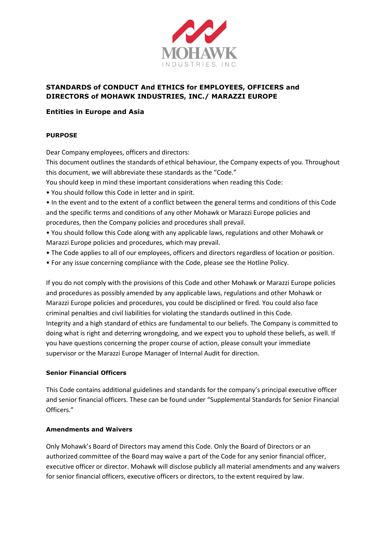

# **STANDARDS of CONDUCT And ETHICS for EMPLOYEES, OFFICERS and DIRECTORS of MOHAWK INDUSTRIES, INC./ MARAZZI EUROPE**

### **Entities in Europe and Asia**

### **PURPOSE**

Dear Company employees, officers and directors:

This document outlines the standards of ethical behaviour, the Company expects of you. Throughout this document, we will abbreviate these standards as the "Code."

You should keep in mind these important considerations when reading this Code:

• You should follow this Code in letter and in spirit.

• In the event and to the extent of a conflict between the general terms and conditions of this Code and the specific terms and conditions of any other Mohawk or Marazzi Europe policies and procedures, then the Company policies and procedures shall prevail.

• You should follow this Code along with any applicable laws, regulations and other Mohawk or Marazzi Europe policies and procedures, which may prevail.

- The Code applies to all of our employees, officers and directors regardless of location or position.
- For any issue concerning compliance with the Code, please see the Hotline Policy.

If you do not comply with the provisions of this Code and other Mohawk or Marazzi Europe policies and procedures as possibly amended by any applicable laws, regulations and other Mohawk or Marazzi Europe policies and procedures, you could be disciplined or fired. You could also face criminal penalties and civil liabilities for violating the standards outlined in this Code. Integrity and a high standard of ethics are fundamental to our beliefs. The Company is committed to doing what is right and deterring wrongdoing, and we expect you to uphold these beliefs, as well. If you have questions concerning the proper course of action, please consult your immediate supervisor or the Marazzi Europe Manager of Internal Audit for direction.

### **Senior Financial Officers**

This Code contains additional guidelines and standards for the company's principal executive officer and senior financial officers. These can be found under "Supplemental Standards for Senior Financial Officers."

### **Amendments and Waivers**

Only Mohawk's Board of Directors may amend this Code. Only the Board of Directors or an authorized committee of the Board may waive a part of the Code for any senior financial officer, executive officer or director. Mohawk will disclose publicly all material amendments and any waivers for senior financial officers, executive officers or directors, to the extent required by law.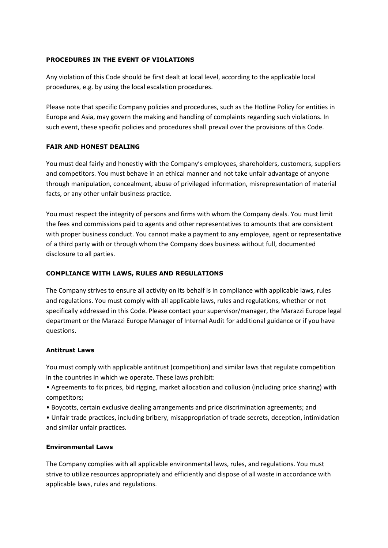### **PROCEDURES IN THE EVENT OF VIOLATIONS**

Any violation of this Code should be first dealt at local level, according to the applicable local procedures, e.g. by using the local escalation procedures.

Please note that specific Company policies and procedures, such as the Hotline Policy for entities in Europe and Asia, may govern the making and handling of complaints regarding such violations. In such event, these specific policies and procedures shall prevail over the provisions of this Code.

### **FAIR AND HONEST DEALING**

You must deal fairly and honestly with the Company's employees, shareholders, customers, suppliers and competitors. You must behave in an ethical manner and not take unfair advantage of anyone through manipulation, concealment, abuse of privileged information, misrepresentation of material facts, or any other unfair business practice.

You must respect the integrity of persons and firms with whom the Company deals. You must limit the fees and commissions paid to agents and other representatives to amounts that are consistent with proper business conduct. You cannot make a payment to any employee, agent or representative of a third party with or through whom the Company does business without full, documented disclosure to all parties.

### **COMPLIANCE WITH LAWS, RULES AND REGULATIONS**

The Company strives to ensure all activity on its behalf is in compliance with applicable laws, rules and regulations. You must comply with all applicable laws, rules and regulations, whether or not specifically addressed in this Code. Please contact your supervisor/manager, the Marazzi Europe legal department or the Marazzi Europe Manager of Internal Audit for additional guidance or if you have questions.

### **Antitrust Laws**

You must comply with applicable antitrust (competition) and similar laws that regulate competition in the countries in which we operate. These laws prohibit:

• Agreements to fix prices, bid rigging, market allocation and collusion (including price sharing) with competitors;

• Boycotts, certain exclusive dealing arrangements and price discrimination agreements; and

• Unfair trade practices, including bribery, misappropriation of trade secrets, deception, intimidation and similar unfair practices.

### **Environmental Laws**

The Company complies with all applicable environmental laws, rules, and regulations. You must strive to utilize resources appropriately and efficiently and dispose of all waste in accordance with applicable laws, rules and regulations.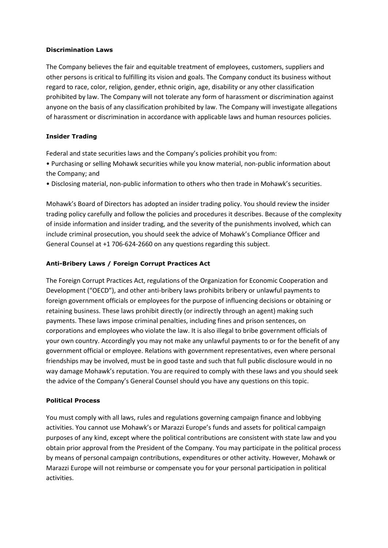### **Discrimination Laws**

The Company believes the fair and equitable treatment of employees, customers, suppliers and other persons is critical to fulfilling its vision and goals. The Company conduct its business without regard to race, color, religion, gender, ethnic origin, age, disability or any other classification prohibited by law. The Company will not tolerate any form of harassment or discrimination against anyone on the basis of any classification prohibited by law. The Company will investigate allegations of harassment or discrimination in accordance with applicable laws and human resources policies.

### **Insider Trading**

Federal and state securities laws and the Company's policies prohibit you from:

• Purchasing or selling Mohawk securities while you know material, non-public information about the Company; and

• Disclosing material, non-public information to others who then trade in Mohawk's securities.

Mohawk's Board of Directors has adopted an insider trading policy. You should review the insider trading policy carefully and follow the policies and procedures it describes. Because of the complexity of inside information and insider trading, and the severity of the punishments involved, which can include criminal prosecution, you should seek the advice of Mohawk's Compliance Officer and General Counsel at +1 706-624-2660 on any questions regarding this subject.

### **Anti-Bribery Laws / Foreign Corrupt Practices Act**

The Foreign Corrupt Practices Act, regulations of the Organization for Economic Cooperation and Development ("OECD"), and other anti-bribery laws prohibits bribery or unlawful payments to foreign government officials or employees for the purpose of influencing decisions or obtaining or retaining business. These laws prohibit directly (or indirectly through an agent) making such payments. These laws impose criminal penalties, including fines and prison sentences, on corporations and employees who violate the law. It is also illegal to bribe government officials of your own country. Accordingly you may not make any unlawful payments to or for the benefit of any government official or employee. Relations with government representatives, even where personal friendships may be involved, must be in good taste and such that full public disclosure would in no way damage Mohawk's reputation. You are required to comply with these laws and you should seek the advice of the Company's General Counsel should you have any questions on this topic.

### **Political Process**

You must comply with all laws, rules and regulations governing campaign finance and lobbying activities. You cannot use Mohawk's or Marazzi Europe's funds and assets for political campaign purposes of any kind, except where the political contributions are consistent with state law and you obtain prior approval from the President of the Company. You may participate in the political process by means of personal campaign contributions, expenditures or other activity. However, Mohawk or Marazzi Europe will not reimburse or compensate you for your personal participation in political activities.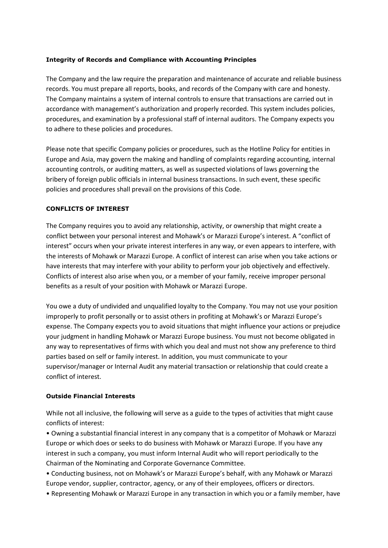### **Integrity of Records and Compliance with Accounting Principles**

The Company and the law require the preparation and maintenance of accurate and reliable business records. You must prepare all reports, books, and records of the Company with care and honesty. The Company maintains a system of internal controls to ensure that transactions are carried out in accordance with management's authorization and properly recorded. This system includes policies, procedures, and examination by a professional staff of internal auditors. The Company expects you to adhere to these policies and procedures.

Please note that specific Company policies or procedures, such as the Hotline Policy for entities in Europe and Asia, may govern the making and handling of complaints regarding accounting, internal accounting controls, or auditing matters, as well as suspected violations of laws governing the bribery of foreign public officials in internal business transactions. In such event, these specific policies and procedures shall prevail on the provisions of this Code.

### **CONFLICTS OF INTEREST**

The Company requires you to avoid any relationship, activity, or ownership that might create a conflict between your personal interest and Mohawk's or Marazzi Europe's interest. A "conflict of interest" occurs when your private interest interferes in any way, or even appears to interfere, with the interests of Mohawk or Marazzi Europe. A conflict of interest can arise when you take actions or have interests that may interfere with your ability to perform your job objectively and effectively. Conflicts of interest also arise when you, or a member of your family, receive improper personal benefits as a result of your position with Mohawk or Marazzi Europe.

You owe a duty of undivided and unqualified loyalty to the Company. You may not use your position improperly to profit personally or to assist others in profiting at Mohawk's or Marazzi Europe's expense. The Company expects you to avoid situations that might influence your actions or prejudice your judgment in handling Mohawk or Marazzi Europe business. You must not become obligated in any way to representatives of firms with which you deal and must not show any preference to third parties based on self or family interest. In addition, you must communicate to your supervisor/manager or Internal Audit any material transaction or relationship that could create a conflict of interest.

### **Outside Financial Interests**

While not all inclusive, the following will serve as a guide to the types of activities that might cause conflicts of interest:

• Owning a substantial financial interest in any company that is a competitor of Mohawk or Marazzi Europe or which does or seeks to do business with Mohawk or Marazzi Europe. If you have any interest in such a company, you must inform Internal Audit who will report periodically to the Chairman of the Nominating and Corporate Governance Committee.

• Conducting business, not on Mohawk's or Marazzi Europe's behalf, with any Mohawk or Marazzi Europe vendor, supplier, contractor, agency, or any of their employees, officers or directors.

• Representing Mohawk or Marazzi Europe in any transaction in which you or a family member, have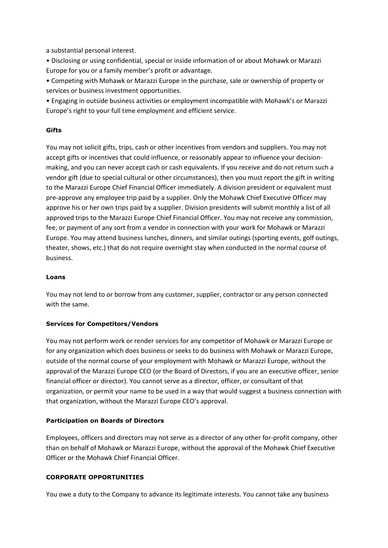a substantial personal interest.

• Disclosing or using confidential, special or inside information of or about Mohawk or Marazzi Europe for you or a family member's profit or advantage.

• Competing with Mohawk or Marazzi Europe in the purchase, sale or ownership of property or services or business investment opportunities.

• Engaging in outside business activities or employment incompatible with Mohawk's or Marazzi Europe's right to your full time employment and efficient service.

### **Gifts**

You may not solicit gifts, trips, cash or other incentives from vendors and suppliers. You may not accept gifts or incentives that could influence, or reasonably appear to influence your decisionmaking, and you can never accept cash or cash equivalents. If you receive and do not return such a vendor gift (due to special cultural or other circumstances), then you must report the gift in writing to the Marazzi Europe Chief Financial Officer immediately. A division president or equivalent must pre-approve any employee trip paid by a supplier. Only the Mohawk Chief Executive Officer may approve his or her own trips paid by a supplier. Division presidents will submit monthly a list of all approved trips to the Marazzi Europe Chief Financial Officer. You may not receive any commission, fee, or payment of any sort from a vendor in connection with your work for Mohawk or Marazzi Europe. You may attend business lunches, dinners, and similar outings (sporting events, golf outings, theater, shows, etc.) that do not require overnight stay when conducted in the normal course of business.

### **Loans**

You may not lend to or borrow from any customer, supplier, contractor or any person connected with the same.

# **Services for Competitors/Vendors**

You may not perform work or render services for any competitor of Mohawk or Marazzi Europe or for any organization which does business or seeks to do business with Mohawk or Marazzi Europe, outside of the normal course of your employment with Mohawk or Marazzi Europe, without the approval of the Marazzi Europe CEO (or the Board of Directors, if you are an executive officer, senior financial officer or director). You cannot serve as a director, officer, or consultant of that organization, or permit your name to be used in a way that would suggest a business connection with that organization, without the Marazzi Europe CEO's approval.

# **Participation on Boards of Directors**

Employees, officers and directors may not serve as a director of any other for-profit company, other than on behalf of Mohawk or Marazzi Europe, without the approval of the Mohawk Chief Executive Officer or the Mohawk Chief Financial Officer.

# **CORPORATE OPPORTUNITIES**

You owe a duty to the Company to advance its legitimate interests. You cannot take any business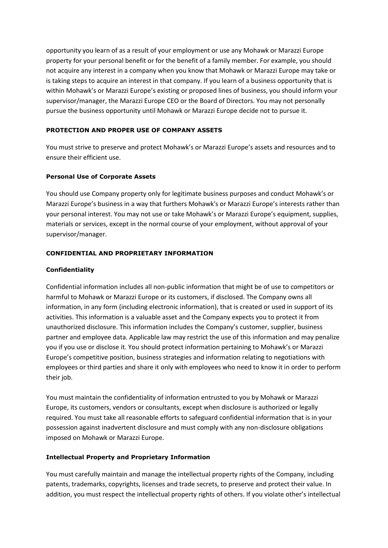opportunity you learn of as a result of your employment or use any Mohawk or Marazzi Europe property for your personal benefit or for the benefit of a family member. For example, you should not acquire any interest in a company when you know that Mohawk or Marazzi Europe may take or is taking steps to acquire an interest in that company. If you learn of a business opportunity that is within Mohawk's or Marazzi Europe's existing or proposed lines of business, you should inform your supervisor/manager, the Marazzi Europe CEO or the Board of Directors. You may not personally pursue the business opportunity until Mohawk or Marazzi Europe decide not to pursue it.

# **PROTECTION AND PROPER USE OF COMPANY ASSETS**

You must strive to preserve and protect Mohawk's or Marazzi Europe's assets and resources and to ensure their efficient use.

### **Personal Use of Corporate Assets**

You should use Company property only for legitimate business purposes and conduct Mohawk's or Marazzi Europe's business in a way that furthers Mohawk's or Marazzi Europe's interests rather than your personal interest. You may not use or take Mohawk's or Marazzi Europe's equipment, supplies, materials or services, except in the normal course of your employment, without approval of your supervisor/manager.

### **CONFIDENTIAL AND PROPRIETARY INFORMATION**

### **Confidentiality**

Confidential information includes all non-public information that might be of use to competitors or harmful to Mohawk or Marazzi Europe or its customers, if disclosed. The Company owns all information, in any form (including electronic information), that is created or used in support of its activities. This information is a valuable asset and the Company expects you to protect it from unauthorized disclosure. This information includes the Company's customer, supplier, business partner and employee data. Applicable law may restrict the use of this information and may penalize you if you use or disclose it. You should protect information pertaining to Mohawk's or Marazzi Europe's competitive position, business strategies and information relating to negotiations with employees or third parties and share it only with employees who need to know it in order to perform their job.

You must maintain the confidentiality of information entrusted to you by Mohawk or Marazzi Europe, its customers, vendors or consultants, except when disclosure is authorized or legally required. You must take all reasonable efforts to safeguard confidential information that is in your possession against inadvertent disclosure and must comply with any non-disclosure obligations imposed on Mohawk or Marazzi Europe.

### **Intellectual Property and Proprietary Information**

You must carefully maintain and manage the intellectual property rights of the Company, including patents, trademarks, copyrights, licenses and trade secrets, to preserve and protect their value. In addition, you must respect the intellectual property rights of others. If you violate other's intellectual